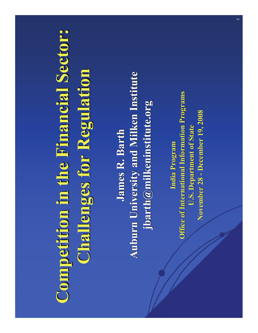# **Competition in the Financial Sector: Competition in the Financial Sector: Challenges for Regulation Challenges for Regulation**

**James R. Barth James R. BarthAuburn University and Milken Institute Auburn University and Milken Institute jbarth@milkeninstitute.org jbarth@milkeninstitute.org**

**India Program Office of International Information Programs Office of International Information Programs U.S. Department of State U.S. Department of State November 28 November 28 - December 19, 2008 December 19, 2008**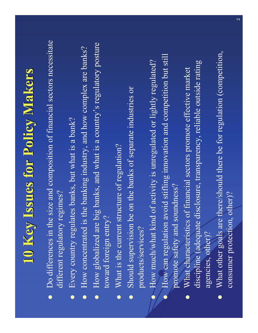## **10 Key Issues for Policy Makers 10 Key Issues for Policy Makers**

- Do differences in the size and composition of financial sectors necessitate different regulatory regimes?
- $\bullet$ Every country regulates banks, but what is a bank?
- $\bullet$ How concentrated is the banking industry, and how complex are banks?
- $\bullet$  How globalized are big banks, and what is a country's regulatory posture toward foreign entry?
- What is the current structure of regulation?
- $\bullet$  Should supervision be on the banks of separate industries or products/services?
- How much/what kind of activity is unregulated or lightly regulated?
- $\bullet$  How can regulation avoid stifling innovation and competition but still promote safety and soundness?
- What characteristics of financial sectors promote effective market discipline (adequate disclosure, transparency, reliable outside rating agencies, other)?
- What other goals are there/should there be for regulation (competition, consumer protection, other)?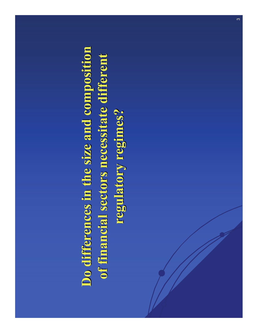## **Do differences in the size and composition Do differences in the size and composition**  of financial sectors necessitate different **regulatory regimes? regulatory regimes?**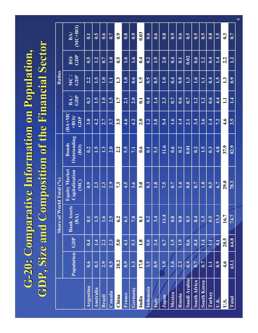### **G-20: Comparative Information on Population, GDP, Size and Composition of the Financial Sector GDP, Size and Composition of the Financial Sector**

|                     | <b>Share of World Total (%)</b> |                  |                            |                                                       |                                            | <b>Ratios</b>                       |                   |                   |                   |                  |
|---------------------|---------------------------------|------------------|----------------------------|-------------------------------------------------------|--------------------------------------------|-------------------------------------|-------------------|-------------------|-------------------|------------------|
|                     | <b>Population</b>               | <b>GDP</b>       | <b>Bank Assets</b><br>(BA) | <b>Equity Market</b><br><b>Capitalization</b><br>(MC) | <b>Bonds</b><br>Outstanding<br><b>(BO)</b> | $(BA+MC)$<br>$+BO$ )/<br><b>GDP</b> | BA/<br><b>GDP</b> | MC/<br><b>GDP</b> | BO/<br><b>GDP</b> | BA/<br>$(MC+BO)$ |
| <b>Argentina</b>    | 0.6                             | 0.4              | 0.1                        | 0.9                                                   | 0.2                                        | 3.0                                 | 0.3               | 2.2               | 0.5               | 0.1              |
| <b>Australia</b>    | 0.3                             | 1.4              | 1.5                        | 2.3                                                   | 1.5                                        | 4.2                                 | 1.5               | 1.5               | 1.2               | 0.5              |
| <b>Brazil</b>       | 2.9                             | 2.2              | 1.6                        | 2.3                                                   | 1.3                                        | 2.7                                 | 1.0               | 1.0               | 0.7               | 0.6              |
| <b>Canada</b>       | 0.5                             | 2.3              | 2.5                        | 2.9                                                   | 2.0                                        | 3.7                                 | 1.5               | 1.1               | 1.0               | 0.7              |
| China               | 20.2                            | 5.0              | 6.2                        | 7.3                                                   | 2.2                                        | 3.5                                 | 1.7               | 1.3               | 0.5               | 0.9              |
| <b>France</b>       | 0.9                             | 4.1              | 6.1                        | 4.5                                                   | 5.5                                        | 4.6                                 | 2.1               | 1.0               | 1.6               | 0.8              |
| <b>Germany</b>      | 1.3                             | 5.3              | 7.8                        | 3.6                                                   | 7.1                                        | 4.2                                 | 2.0               | 0.6               | 1.6               | 0.9              |
| India               | 17.8                            | 1.8              | 0.1                        | 3.0                                                   | 0.6                                        | 2.0                                 | 0.1               | 1.5               | 0.4               | 0.03             |
| <b>Indonesia</b>    | 3.5                             | 0.6              | 0.2                        | 0.3                                                   | 0.1                                        | 1.2                                 | 0.4               | 0.5               | 0.2               | 0.6              |
| <b>Italy</b>        | 0.9                             | 3.4              | 3.4                        | 1.8                                                   | 5.3                                        | 3.8                                 | 1.4               | 0.5               | 1.9               | 0.6              |
| <b>Japan</b>        | 1.9                             | 6.7              | 11.4                       | 7.5                                                   | 11.6                                       | 5.4                                 | 2.3               | 1.0               | 2.0               | 0.8              |
| <b>Mexico</b>       | 1.6                             | 1.5              | 0.8                        | 0.7                                                   | 0.6                                        | 1.6                                 | 0.7               | 0.4               | 0.4               | 0.9              |
| <b>Russia</b>       | 2.2                             | 1.9              | 0.8                        | 1.6                                                   | 0.2                                        | 1.4                                 | 0.6               | 0.8               | 0.1               | 0.6              |
| Saudi Arabia        | 0.4                             | 0.6              | 0.3                        | 0.8                                                   | 0.01                                       | 2.1                                 | 0.7               | 1.3               | 0.02              | 0.5              |
| <b>South Africa</b> | 0.7                             | 0.4              | 0.4                        | 0.7                                                   | 0.2                                        | 3.4                                 | 1.2               | 1.6               | 0.6               | 0.5              |
| <b>South Korea</b>  | 0.7                             | 1.4              | 1.3                        | 1.8                                                   | 1.5                                        | 3.6                                 | 1.2               | 1.1               | 1.2               | 0.5              |
| <b>Turkey</b>       | 1.1                             | $\boldsymbol{I}$ | 0.5                        | 0.5                                                   | 0.3                                        | 1.4                                 | 0.6               | 0.4               | 0.4               | 0.8              |
| U.K.                | 0.9                             | $\ket{4.1}$      | 13.1                       | 6.7                                                   | 4.8                                        | 7.2                                 | 4.4               | 1.5               | 1.4               | 1.5              |
| <b>U.S.</b>         | 4.6                             | 20.5             | 16.7                       | 29.0                                                  | 37.9                                       | 4.6                                 | 1.1               | 1.3               | 2.2               | 0.3              |
| <b>Total</b>        | 63.1                            | 64.8             | 74.7                       | 78.3                                                  | 82.9                                       | 3.5                                 | 1.4               | 0.9               | 1.2               | 0.7              |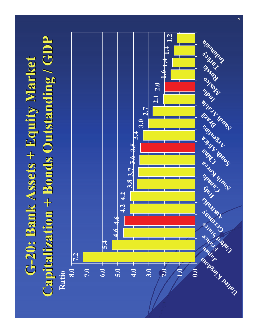# **G-20: Bank Assets + Equity Market 20: Bank Assets + Equity Market Capitalization + Bonds Outstanding / GDP Capitalization + Bonds Outstanding / GDP**

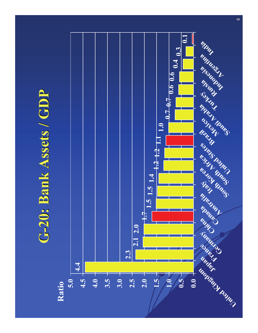#### **G-20: Bank Assets / GDP 20: Bank Assets / GDP**

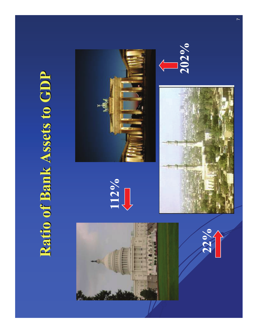### **Ratio of Bank Assets to GDP Ratio of Bank Assets to GDP**

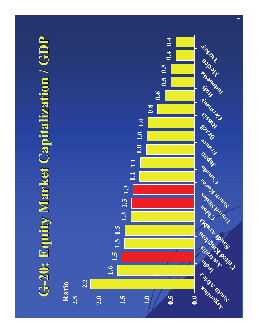## **G-20: Equity Market Capitalization / GDP 20: Equity Market Capitalization / GDP**

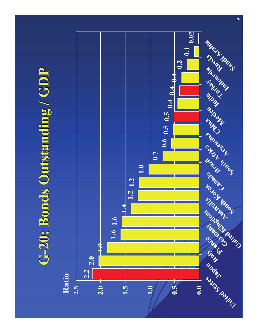### **G-20: Bonds Outstanding / GDP 20: Bonds Outstanding / GDP**

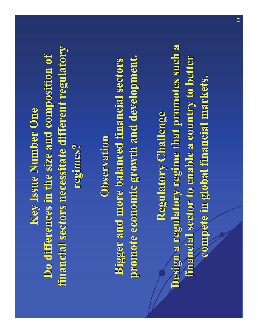**Key Issue Number One Do differences in the size and composition of Do differences in the size and composition of financial sectors necessitate different regulatory financial sectors necessitate different regulatory regimes? regimes?**

**Observation ObservationBigger and more balanced financial sectors promote economic growth and development. promote economic growth and development.**

**Regulatory Challenge Regulatory Challenge Design a regulatory regime that promotes such a financial sector to enable a country to better compete in global financial markets. compete in global financial markets.**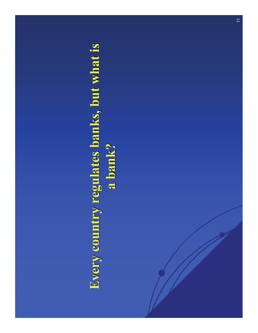## **Every country regulates banks, but what is a bank? a bank?**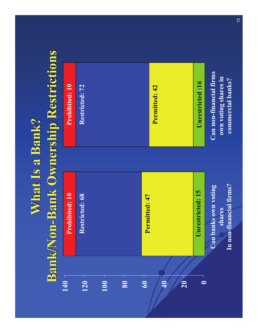## **What Is a Bank? What Is a Bank?**

## **Bank/Non Bank/Non-Bank Ownership Restrictions Bank Ownership Restrictions**

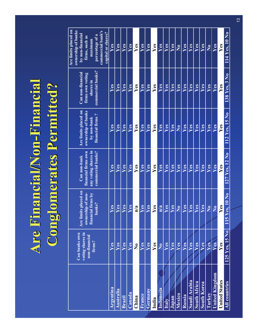# **Are Financial/Non Are Financial/Non-Financial Financial Conglomerates Permitted? Conglomerates Permitted?**

|                       | <b>Can banks own</b><br>voting shares in<br>non-financial<br>firms? | Are limits placed on<br>ownership of non-<br>financial firms by<br>banks? | Can non-bank<br>financial firms own<br>any voting shares in<br>commercial banks? | Are limits placed on<br>ownership of banks<br>by non-bank<br>financial firms? | Can non-financial<br>firms own voting<br>shares in<br>commercial banks? | Are limits placed on<br>ownership of banks<br>by non-financial<br>firms, such as<br>maximum<br>percentage of a<br>commercial bank's<br>capital or shares? |
|-----------------------|---------------------------------------------------------------------|---------------------------------------------------------------------------|----------------------------------------------------------------------------------|-------------------------------------------------------------------------------|-------------------------------------------------------------------------|-----------------------------------------------------------------------------------------------------------------------------------------------------------|
| <b>Argentina</b>      | Yes                                                                 | Yes                                                                       | Yes                                                                              | Yes                                                                           | Yes                                                                     | <b>Yes</b>                                                                                                                                                |
| <b>Australia</b>      | Yes                                                                 | Yes                                                                       | Yes                                                                              | Yes                                                                           | Yes                                                                     | Yes                                                                                                                                                       |
| <b>Brazil</b>         | Yes                                                                 | Yes                                                                       | Yes                                                                              | Yes                                                                           | Yes                                                                     | Yes                                                                                                                                                       |
| Canada                | Yes                                                                 | Yes                                                                       | <b>Yes</b>                                                                       | Yes                                                                           | Yes                                                                     | Yes                                                                                                                                                       |
| China                 | N <sub>0</sub>                                                      | n/a                                                                       | <b>Yes</b>                                                                       | <b>Yes</b>                                                                    | <b>Yes</b>                                                              | Yes                                                                                                                                                       |
| <b>France</b>         | Yes                                                                 | <b>Yes</b>                                                                | <b>Yes</b>                                                                       | <b>Yes</b>                                                                    | Yes                                                                     | <b>Yes</b>                                                                                                                                                |
| <b>Germany</b>        | Yes                                                                 | Yes                                                                       | <b>Yes</b>                                                                       | Yes                                                                           | Yes                                                                     | Yes                                                                                                                                                       |
| India                 | Yes                                                                 | Yes                                                                       | Yes                                                                              | Yes                                                                           | Yes                                                                     | <b>Yes</b>                                                                                                                                                |
| <b>Indonesia</b>      | N <sub>0</sub>                                                      | n/a                                                                       | Yes                                                                              | Yes                                                                           | Yes                                                                     | <b>Yes</b>                                                                                                                                                |
| <b>Italy</b>          | Yes                                                                 | <b>Yes</b>                                                                | <b>Yes</b>                                                                       | Yes                                                                           | Yes                                                                     | Yes                                                                                                                                                       |
| Japan                 | Yes                                                                 | <b>Yes</b>                                                                | <b>Yes</b>                                                                       | Yes                                                                           | Yes                                                                     | Yes                                                                                                                                                       |
| <b>Mexico</b>         | Yes                                                                 | N <sub>o</sub>                                                            | Yes                                                                              | N <sub>o</sub>                                                                | Yes                                                                     | No                                                                                                                                                        |
| <b>Russia</b>         | Yes                                                                 | Yes                                                                       | Yes                                                                              | Yes                                                                           | Yes                                                                     | Yes                                                                                                                                                       |
| Saudi Arabia          | Yes                                                                 | <b>Yes</b>                                                                | <b>Yes</b>                                                                       | Yes                                                                           | Yes                                                                     | Yes                                                                                                                                                       |
| <b>South Africa</b>   | Yes                                                                 | <b>Yes</b>                                                                | <b>Yes</b>                                                                       | Yes                                                                           | Yes                                                                     | Yes                                                                                                                                                       |
| <b>South Korea</b>    | Yes                                                                 | Yes                                                                       | <b>Yes</b>                                                                       | Yes                                                                           | Yes                                                                     | Yes                                                                                                                                                       |
| <b>Turkey</b>         | Yes                                                                 | N <sub>0</sub>                                                            | Yes                                                                              | Yes                                                                           | Yes                                                                     | No                                                                                                                                                        |
| <b>United Kingdom</b> | Yes                                                                 | N <sub>o</sub>                                                            | <b>Yes</b>                                                                       | Yes                                                                           | Yes                                                                     | Yes                                                                                                                                                       |
| <b>United States</b>  | Yes                                                                 | <b>Yes</b>                                                                | Yes                                                                              | <b>Yes</b>                                                                    | <b>Yes</b>                                                              | Yes                                                                                                                                                       |
| <b>All countries</b>  | 125 Yes, 15 No                                                      | 115 Yes, 10 No                                                            | 127 Yes, 12 No                                                                   | 112 Yes, 15 No                                                                | 138 Yes, 3 No                                                           | $11\overline{4 \text{ Yes}}, 10 \text{ No}$                                                                                                               |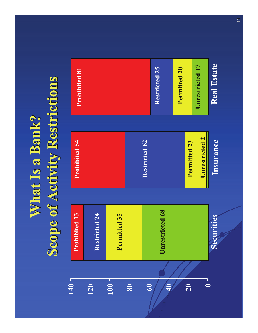## **What Is a Bank? What Is a Bank?Scope of Activity Restrictions Scope of Activity Restrictions**

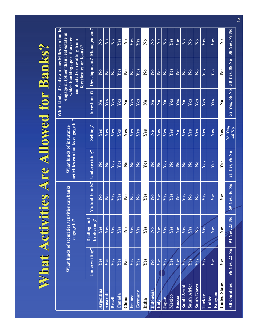## **What Activities Are Allowed for Banks? What Activities Are Allowed for Banks?**

|                                 |                      | What kinds of securities activities can banks<br>engage in? |                      | <b>What kinds of insurance</b><br>activities can banks engage in? |                                | What kinds of real estate activities can banks<br>engage in (other than real estate in<br>which banking operations are<br>conducted or resulting from<br>foreclosure on loans)? |                        |                                                         |  |
|---------------------------------|----------------------|-------------------------------------------------------------|----------------------|-------------------------------------------------------------------|--------------------------------|---------------------------------------------------------------------------------------------------------------------------------------------------------------------------------|------------------------|---------------------------------------------------------|--|
|                                 | <b>Underwriting?</b> | <b>Dealing and</b><br>brokering?                            | <b>Mutual Funds?</b> | Underwriting?                                                     | Selling?                       | <b>Investment?</b>                                                                                                                                                              |                        | <b>Development?</b> Management?                         |  |
| <b>Argentina</b>                | Yes                  | Yes                                                         | N <sub>0</sub>       | N <sub>o</sub>                                                    | Yes                            | No                                                                                                                                                                              | N <sub>0</sub>         | N <sub>o</sub>                                          |  |
| <b>Australia</b>                | Yes                  | Yes                                                         | N <sub>o</sub>       | N <sub>o</sub>                                                    | Yes                            | Yes                                                                                                                                                                             | N <sub>o</sub>         | N <sub>o</sub>                                          |  |
| <b>Brazil</b>                   | Yes                  | Yes                                                         | Yes                  | Yes                                                               | Yes                            | Yes                                                                                                                                                                             | N <sub>0</sub>         | N <sub>o</sub>                                          |  |
| Canada                          | Yes                  | Yes                                                         | Yes                  | Yes                                                               | Yes                            | Yes                                                                                                                                                                             | Yes                    | Yes                                                     |  |
| China                           | No                   | No                                                          | No                   | No                                                                | Yes                            | No                                                                                                                                                                              | $\mathbf{N}\mathbf{0}$ | $\mathbf{N}\mathbf{0}$                                  |  |
| France                          | Yes                  | Yes                                                         | N <sub>0</sub>       | N <sub>o</sub>                                                    | Yes                            | Yes                                                                                                                                                                             | N <sub>0</sub>         | Yes                                                     |  |
| Germany                         | Yes                  | Yes                                                         | No                   | $\overline{\text{No}}$                                            | Yes                            | Yes                                                                                                                                                                             | Yes                    | Yes                                                     |  |
| India                           | Yes                  | Yes                                                         | Yes                  | Yes                                                               | Yes                            | N <sub>0</sub>                                                                                                                                                                  | No                     | No                                                      |  |
| <b>Indonesia</b>                | N <sub>o</sub>       | N <sub>0</sub>                                              | N <sub>0</sub>       | N <sub>o</sub>                                                    | N <sub>0</sub>                 | N <sub>0</sub>                                                                                                                                                                  | N <sub>0</sub>         | N <sub>o</sub>                                          |  |
| <b>Italy</b>                    | Yes                  | Yes                                                         | Yes                  | No.                                                               | Yes                            | No                                                                                                                                                                              | No                     | N <sub>o</sub>                                          |  |
| Japan                           | Yes                  | Yes                                                         | Yes                  | Yes                                                               | Yes                            | N <sub>0</sub>                                                                                                                                                                  | N <sub>0</sub>         | N <sub>o</sub>                                          |  |
| <b>Mexico</b>                   | Yes                  | Yes                                                         | Yes                  | N <sub>0</sub>                                                    | Yes                            | Yes                                                                                                                                                                             | Yes                    | Yes                                                     |  |
| <b>Russia</b>                   | Yes                  | Yes                                                         | N <sub>0</sub>       | N <sub>0</sub>                                                    | N <sub>0</sub>                 | Yes                                                                                                                                                                             | N <sub>0</sub>         | Yes                                                     |  |
| Saudi Arabia                    | Yes                  | Yes                                                         | Yes                  | $\overline{\text{No}}$                                            | Yes                            | No                                                                                                                                                                              | N <sub>o</sub>         | $\overline{\text{No}}$                                  |  |
| <b>South Africa</b>             | Yes                  | Yes                                                         | N <sub>0</sub>       | N <sub>o</sub>                                                    | Yes                            | Yes                                                                                                                                                                             | N <sub>0</sub>         | N <sub>o</sub>                                          |  |
| <b>South Korea</b>              | Yes                  | N <sub>0</sub>                                              | No                   | N <sub>0</sub>                                                    | Yes                            | Yes                                                                                                                                                                             | N <sub>0</sub>         | N <sub>o</sub>                                          |  |
| <b>Turkey</b>                   | Yes                  | Yes                                                         | Yes                  | Yes                                                               | Yes                            | Yes                                                                                                                                                                             | Yes                    | Yes                                                     |  |
| <b>United</b><br><b>Kingdom</b> | Yes                  | Yes                                                         | Yes                  | Yes                                                               | Yes                            | Yes                                                                                                                                                                             | Yes                    | Yes                                                     |  |
| <b>United States</b>            | Yes                  | Yes                                                         | Yes                  | Yes                                                               | Yes                            | N <sub>0</sub>                                                                                                                                                                  | N <sub>0</sub>         | N <sub>0</sub>                                          |  |
| <b>All countries</b>            | 96 Yes, 22 No        | 94 Yes, 23 No                                               | 69 Yes, 46 No        | 21 Yes, 96 No                                                     | <b>73 Yes,</b><br><b>44 No</b> | 52 Yes, 66 No                                                                                                                                                                   | <b>30 Yes, 88 No</b>   | $38 \overline{\mathrm{Yes}}, 79 \overline{\mathrm{No}}$ |  |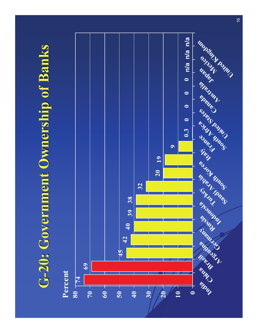### **G-20: Government Ownership of Banks 20: Government Ownership of Banks**

#### **Percent**

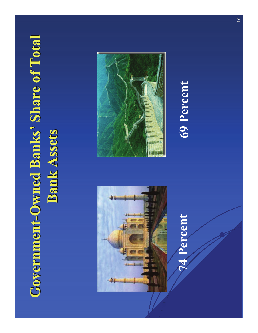# **Government-Owned Banks' Share of Total Bank Assets Bank Assets**



## **74 Percent 69 Percent**

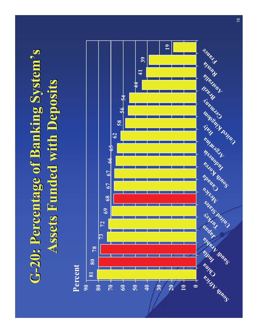## **G-20: Percentage of Banking System 20: Percentage of Banking System's Assets Funded with Deposits Assets Funded with Deposits**

**Percent**

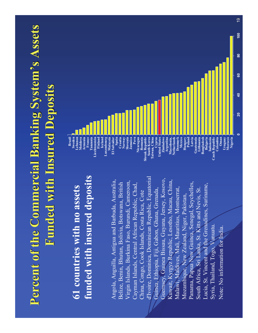### **Percent of the Commercial Banking System's Assets Funded with Insured Deposits Funded with Insured Deposits**

#### **61 countries with no assets funded with insured deposits**

Angola, Anguilla, Antigua and Barbuda, Australia, Belize, Benin, Bhutan, Bolivia, Botswana, British Virgin Islands, Burkina Faso, Burundi, Cameroon, Cayman Islands, Central African Republic, Chad, China, Congo, Cook Islands, Costa Rica, Cote d'Ivoire, Dominica, Dominican Republic, Equatorial Guinea, Ethiopia, Fiji, Gabon, Ghana, Grenada, Guernsey, Guinea Bissau, Guyana, Jersey, Kosovo, Kuwait, Kyrgyz Republic, Lesotho, Macau, China, Malawi, Maldives, Mali, Mauritius, Montserrat, Mozambique, New Zealand, Niger, Pakistan, Panama, Papua New Guinea, Senegal, Seychelles, South Africa, Sri Lanka, St. Kitts and Nevis, St. Lucia, St. Vincent and the Grenadines, Suriname, Syria, Thailand, Togo, Vanuatu. Note: No information for India.

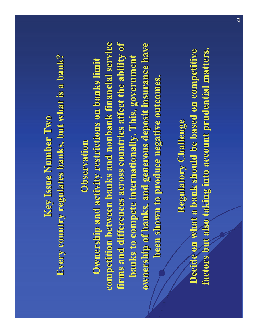#### **Key Issue Number Two Every country regulates banks, but what is a bank? Every country regulates banks, but what is a bank?**

#### **Observation Observation**

**Ownership and activity restrictions on banks limit competition between banks and nonbank financial service competition between banks and nonbank financial service**  firms and differences across countries affect the ability of **banks to compete internationally. This, government banks to compete internationally. This, government ownership of banks, and generous deposit insurance have been shown to produce negative outcomes. been shown to produce negative outcomes.** 

**Regulatory Challenge Regulatory Challenge Decide on what a bank should be based on competitive factors but also taking into account prudential matters. factors but also taking into account prudential matters.**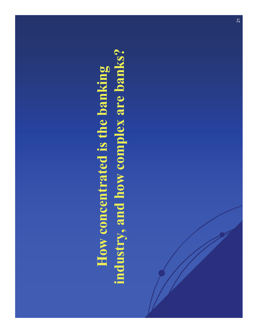## **How concentrated is the banking industry, and how complex are banks?**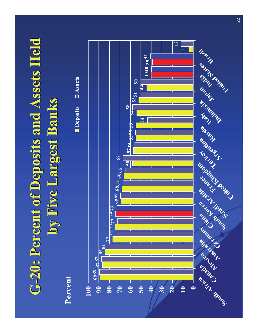# **G-20: Percent of Deposits and Assets Held 20: Percent of Deposits and Assets Held by Five Largest Banks by Five Largest Banks**

**Percent**



**Deposits Assets**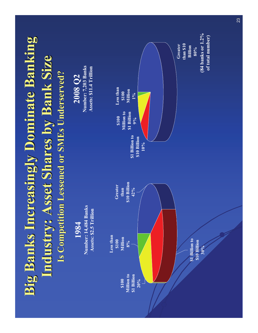## **Big Banks Increasingly Dominate Banking Industry: Asset Shares by Bank Size Industry: Asset Shares by Bank Size Is Competition Lessened or SMEs Underserved? Is Competition Lessened or SMEs Underserved?**

**2008 Q2 Number: 7,203 Banks Assets: \$11.4 Trillion**

**1984Number: 14,484 Banks Assets: \$2.5 Trillion**

**Less than \$100 Million8%\$100 Million to \$1 Billion 20%\$1 Billion to \$10 Billion 30%Greater than \$10 Billion 42%Greater than \$10 Billion80%\$1 Billion to \$10 Billion 10%\$100 Million to \$1 Billion 9%Less than \$100 Million1%(84 banks or 1.2% of total number)**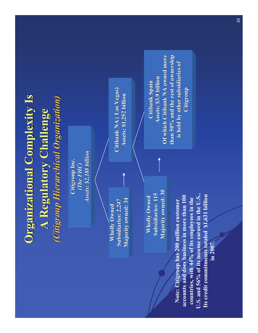#### **Organizational Complexity Is A Regulatory Challenge A Regulatory Challenge** *(Citigroup Hierarchical Organization) (Citigroup Hierarchical Organization)*

**Citigroup Inc.** *(The FHC) (The FHC) Assets: \$2,188 billion Assets: \$2,188 billion*

**Wholly Owned Subsidiaries: 2,247 Subsidiaries: 2,247 Majority owned: 34 Majority owned: 34**

**Citibank NA ( Las Vegas) Citibank NA ( Vegas) Assets: \$1,252 billion Assets: \$1,252 billion**

**Wholly Owned Subsidiaries: 115 Subsidiaries: 115Majority owned: 30 Majority owned: 30**

**Note: Citigroup has 200 million customer accounts and does business in more than 100 countries, with 44% of its employees in the U.S. and 56% of its income earned in the U.S.. Its credit commitments totaled \$1,631 billion in 2007.**

**Citibank Spain Citibank Spain Assets: \$3.9 billion Of which Citibank NA owned more than 50% and the rest of ownership than 50% and the rest of ownership is held by other subsidiaries of is held by other subsidiaries of Citigroup Citigroup**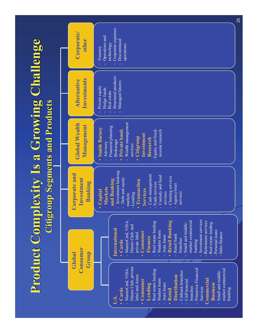#### **Product Complexity Is a Growing Challenge Citigroup Segments and Products Citigroup Segments and Products**

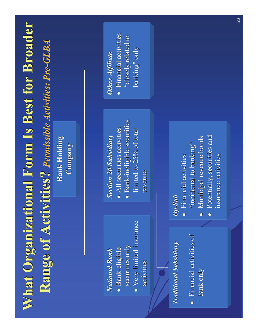## **What Organizational Form Is Best for Broader Range of Activities? Range of Activities?** *Permissible Activities: Pre Permissible Activities: Pre-GLBA*

**Bank Holding Company Company**

#### *National Bank National Bank*

- Bank-eligible securities only
- Very limited insurance activities

#### *Section 20 Subsidiary Section 20 Subsidiary*

- $\bullet$  All securities activities
- $\bullet$  Bank-ineligible securities limited to  $25%$  of total revenue

#### *Other Affiliate Affiliate*

 $\bullet$  Financial activities "closely related to banking" only

#### *Traditional Subsidiary Traditional Subsidiary*

•**Financial activities of** bank only

#### *Op-Sub*

- $\bullet$  Financial activities "incidental to banking"
- Municipal revenue bonds
- Potentially, securities and insurance activities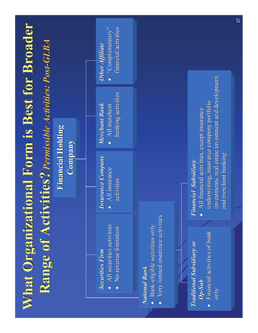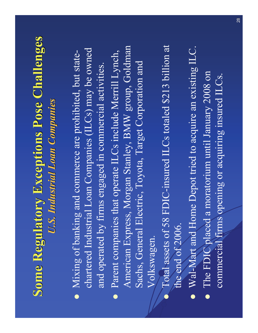#### **Some Regulatory Exceptions Pose Challenges** *U.S. Industrial Loan Companies U.S. Industrial Loan Companies*

- Mixing of banking and commerce are prohibited, but statechartered Industrial Loan Companies (ILCs) may be owned and operated by firms engaged in commercial activities.
- Parent companies that operate ILCs include Merrill Lynch, American Express, Morgan Stanley, BMW group, Goldman Sachs, General Electric, Toyota, Target Corporation and Volkswagen.
- $\bullet$  Total assets of 58 FDIC-insured ILCs totaled \$213 billion at the end of 2006.
- Wal-Mart and Home Depot tried to acquire an existing ILC.
- The FDIC placed a moratorium until January 2008 on commercial firms opening or acquiring insured ILCs.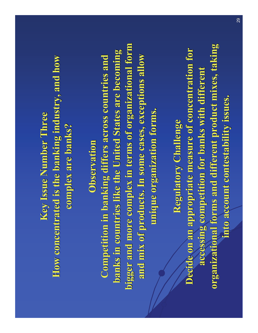#### **Key Issue Number Three Key Issue Number Three How concentrated is the banking industry, and how complex are banks? complex are banks?**

#### **Observation Observation**

**Competition in banking differs across countries and Competition in banking differs across countries and banks in countries like the United States are becoming banks in countries like the United States are becoming bigger and more complex in terms of organizational form bigger and more complex in terms of organizational form**  and mix of products. In some cases, exceptions allow **unique organization forms. unique organization forms.**

**Regulatory Challenge Regulatory Challenge Decide on an appropriate measure of concentration for** accessing competition for banks with different **organizational forms and different product mixes, taking into account contestability issues. into account contestability issues.**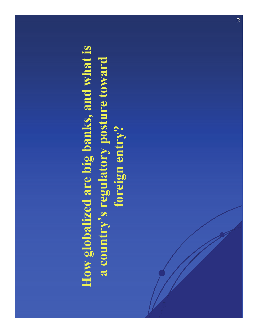## **How globalized are big banks, and what is a country's regulatory posture toward foreign entry?**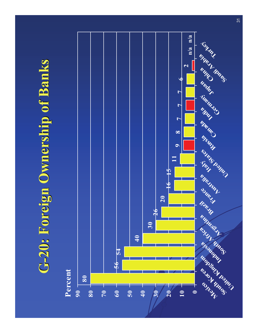### **G-20: Foreign Ownership of Banks 20: Foreign Ownership of Banks**

#### **Percent**

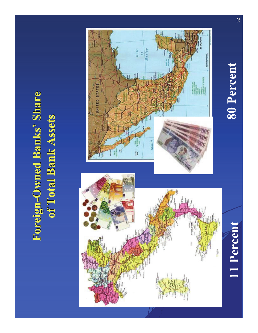### **Foreign-Owned Banks' Share of Total Bank Assets of Total Bank Assets**



#### **80 Percent**

### **11 Percent** 1 **80 Percent** 32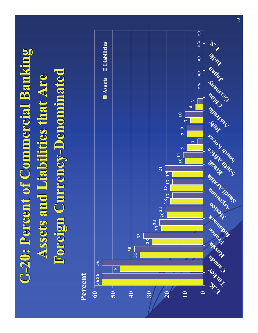# **G-20: Percent of Commercial Banking 20: Percent of Commercial Banking Assets and Liabilities that Are Foreign Currency-Denominated**

 **24 21**  $18^{17}$   $18^{17}$  $^{\circ}17$  17  $10^{11}$  9 9  **56 <sup>10</sup>** U. Kurkey anada Russia France da Lezico anima rabia Brail Luica Lorea Wald china chinany Japan India U.S. **Assets Liabilities Percentn/a n/a n/an/a n/a**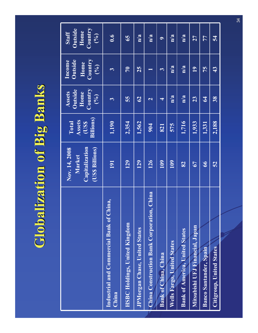## **Globalization of Big Banks Globalization of Big Banks**

|                                                                 | Nov. 14, 2008<br><b>Market</b><br><b>Capitalization</b><br>(US\$ Billions) | <b>Total</b><br><b>Assets</b><br>(US\$<br><b>Billions</b> ) | <b>Assets</b><br><b>Outside</b><br><b>Home</b><br><b>Country</b><br>(%) | <b>Income</b><br><b>Outside</b><br>Home<br><b>Country</b><br>(%) | <b>Staff</b><br><b>Outside</b><br><b>Home</b><br><b>Country</b><br>(%) |
|-----------------------------------------------------------------|----------------------------------------------------------------------------|-------------------------------------------------------------|-------------------------------------------------------------------------|------------------------------------------------------------------|------------------------------------------------------------------------|
| <b>Industrial and Commercial Bank of China,</b><br><b>China</b> | 191                                                                        | 1,190                                                       | $\overline{3}$                                                          | $\mathbf{3}$                                                     | 0.6                                                                    |
| <b>HSBC Holdings, United Kingdom</b>                            | 129                                                                        | 2,354                                                       | 55                                                                      | 70                                                               | 65                                                                     |
| <b>JPMorgan Chase, United States</b>                            | 129                                                                        | 1,562                                                       | 62                                                                      | 25                                                               | n/a                                                                    |
| <b>China Construction Bank Corporation, China</b>               | 126                                                                        | 904                                                         | $\overline{2}$                                                          | $\mathbf{1}$                                                     | n/a                                                                    |
| <b>Bank of China, China</b>                                     | 109                                                                        | 821                                                         | $\overline{\mathbf{4}}$                                                 | 3 <sup>1</sup>                                                   | 9 <sup>°</sup>                                                         |
| <b>Wells Fargo, United States</b>                               | 109                                                                        | 575                                                         | n/a                                                                     | n/a                                                              | n/a                                                                    |
| <b>Bank of America, United States</b>                           | 82                                                                         | 1,716                                                       | n/a                                                                     | n/a                                                              | n/a                                                                    |
| Mitsubishi UFJ Financial, Japan                                 | 67                                                                         | 1,933                                                       | 23                                                                      | 19                                                               | 27                                                                     |
| <b>Banco Santander, Spain</b>                                   | 66                                                                         | 1,331                                                       | 64                                                                      | 75                                                               | 77                                                                     |
| <b>Citigroup, United States.</b>                                | 52                                                                         | 2,188                                                       | 38                                                                      | 43                                                               | 54                                                                     |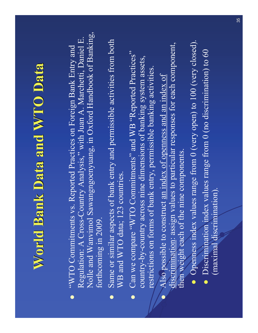### **World Bank Data and WTO Data**

- "WTO Commitments vs. Reported Practices on Foreign Bank Entry and Regulation: A Cross-Country Analysis," with Juan A. Marchetti, Daniel E. Nolle and Wanvimol Sawangngoenyuang, in Oxford Handbook of Banking, forthcoming in 2009.
- Same or similar aspects of bank entry and permissible activities from both WB and WTO data; 123 countries.
- Can we compare "WTO Commitments" and WB "Reported Practices" country-by-country across nine dimensions of banking system assets, restrictions on forms of bank entry, permissible banking activities.
- $\bullet$ Also possible to construct an index of openness and an index of discrimination: assign values to particular responses for each component, then weight each of the nine components.
	- Openness index values range from 0 (very open) to 100 (very closed).
	- Discrimination index values range from  $0$  (no discrimination) to 60 (maximal discrimination).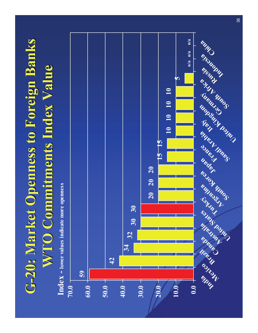## **G-20: Market Openness to Foreign Banks 20: Market Openness to Foreign Banks WTO Commitments Index Value WTO Commitments Index Value**

**594234 32 30 30 20 20 2015 1510 10 10 1050.010.020.0 30.040.050.060.070.0**India ico prail naba ratio states ntes mina crea papar rance ratio transportants rice ansia china **Index - lower values indicate more openness n/a n/a n/a**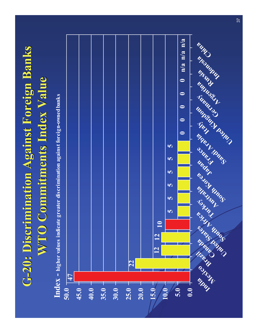## **G-20: Discrimination Against Foreign Banks 20: Discrimination Against Foreign Banks WTO Commitments Index Value WTO Commitments Index Value**

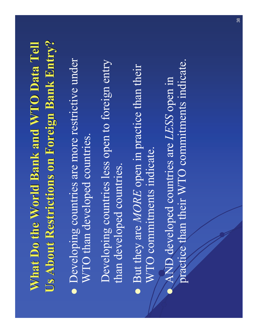### **What Do the World Bank and WTO Data Tell Us About Restrictions on Foreign Bank Entry? Us About Restrictions on Foreign Bank Entry?**

- Developing countries are more restrictive under WTO than developed countries.
	- Developing countries less open to foreign entry than developed countries.
- But they are *MORE* open in practice than their WTO commitments indicate.
- $\bullet$  AND developed countries are *LESS* open in practice than their WTO commitments indicate.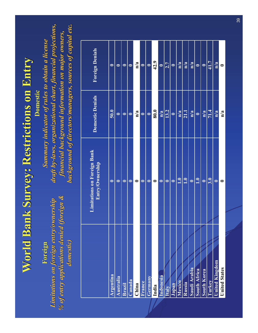### **World Bank Survey: Restrictions on Entry World Bank Survey: Restrictions on Entry**

**Domestic Domestic**

**Foreign Foreign** *Limitations on foreign entry/ownership Limitations on foreign entry/ownership % of entry applications denied (foreign & % of entry applications denied (foreign & domestic) domestic)*

*Summary indicator of rules to obtain a license Summary indicator of rules to obtain a license draft by draft by-laws, organizational chart, laws, organizational chart, financial projections, financial projections, financial background info financial background information on major owners, rmation on major owners, background of directors/managers, sources of capital etc.* 

|                       | <b>Limitations on Foreign Bank</b><br>Entry/Ownership | <b>Domestic Denials</b> | <b>Foreign Denials</b> |
|-----------------------|-------------------------------------------------------|-------------------------|------------------------|
| <b>Argentina</b>      | $\boldsymbol{0}$                                      | 50.0                    | $\boldsymbol{0}$       |
| <b>Australia</b>      | $\boldsymbol{0}$                                      | $\boldsymbol{0}$        | $\boldsymbol{0}$       |
| <b>Brazil</b>         | $\boldsymbol{0}$                                      | $\boldsymbol{0}$        | $\boldsymbol{0}$       |
| Canada                | $\boldsymbol{0}$                                      | $\bf{0}$                | $\mathbf{0}$           |
| China                 | $\boldsymbol{0}$                                      | n/a                     | n/a                    |
| <b>France</b>         | $\boldsymbol{0}$                                      | $\boldsymbol{0}$        | $\boldsymbol{0}$       |
| <b>Germany</b>        | $\boldsymbol{0}$                                      | $\boldsymbol{0}$        | $\bf{0}$               |
| India                 | $\boldsymbol{0}$                                      | 80.0                    | 42.9                   |
| Indonesia             | $\boldsymbol{0}$                                      | n/a                     | $\bf{0}$               |
| <b>Italy</b>          | $\boldsymbol{0}$                                      | 13.2                    | 2.7                    |
| Japan                 | $\boldsymbol{0}$                                      | $\boldsymbol{0}$        | $\boldsymbol{0}$       |
| <b>Mexico</b>         | 1.0                                                   | n/a                     | n/a                    |
| <b>Russia</b>         | 1.0                                                   | 21.1                    | n/a                    |
| Saudi Arabia          | $\boldsymbol{0}$                                      | n/a                     | n/a                    |
| <b>South Africa</b>   | 1.0                                                   | $\bf{0}$                | $\boldsymbol{0}$       |
| <b>South Korea</b>    | $\boldsymbol{0}$                                      | n/a                     | $\boldsymbol{0}$       |
| <b>Turkey</b>         | 3.0                                                   | 71.4                    | 41.7                   |
| <b>United Kingdom</b> | $\boldsymbol{0}$                                      | n/a                     | n/a                    |
| <b>United States</b>  | $\boldsymbol{0}$                                      | n/a                     | $\boldsymbol{0}$       |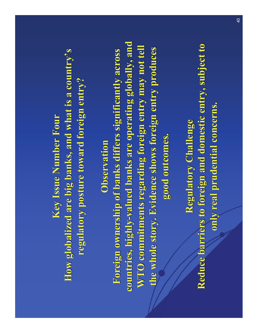**Key Issue Number Four Key Issue Number Four How globalized are big banks, and what is a country's regulatory posture toward foreign entry?** 

#### **Observation Observation**

**Foreign ownership of banks differs significantly across Foreign ownership of banks differs significantly across**  countries, highly-valued banks are operating globally, and **WTO commitments regarding foreign entry may not tell the whole story. Evidence shows foreign entry produces the whole story. Evidence shows foreign entry produces good outcomes. good outcomes.**

**Regulatory Challenge Regulatory Challenge Reduce barriers to foreign and domestic entry, subject to only real prudential concerns. only real prudential concerns.**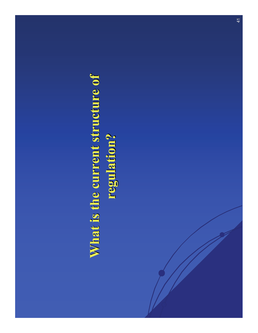# **What is the current structure of regulation? regulation?**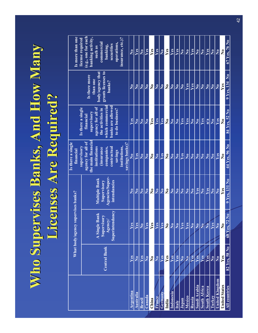# **Who Supervises Banks, And How Many Licenses Are Required? Licenses Are Required?**

|                       | What body/agency supervises banks? |                                                                                 |                                                                                      | Is there a single<br>financial<br>supervisory                                                                                                                    | Is there a single                                                                                                              |                                                                               | Is more than one<br>license required                                                                                            |
|-----------------------|------------------------------------|---------------------------------------------------------------------------------|--------------------------------------------------------------------------------------|------------------------------------------------------------------------------------------------------------------------------------------------------------------|--------------------------------------------------------------------------------------------------------------------------------|-------------------------------------------------------------------------------|---------------------------------------------------------------------------------------------------------------------------------|
|                       | <b>Central Bank</b>                | <b>A Single Bank</b><br><b>Supervisory</b><br>Agency/<br><b>Superintendancy</b> | <b>Multiple Bank</b><br><b>Supervisory</b><br>Agencies/Super-<br><b>intendancies</b> | agency for all of<br>the main financial<br><b>institutions</b><br><i>(insurance)</i><br>companies,<br>contractual<br>savings<br>institutions,<br>savings banks)? | financial<br>supervisory<br>agency for all of<br>the activities in<br>which commercial<br>banks are allowed<br>to do business? | Is there more<br>than one<br>body/agency that<br>grants licenses to<br>banks? | (e.g., one for each<br>banking activity,<br>such as<br>commercial<br>banking,<br>securities<br>operations,<br>insurance, etc.)? |
| <b>Argentina</b>      | Yes                                | Yes                                                                             | No                                                                                   | No                                                                                                                                                               | Yes                                                                                                                            | No                                                                            | N <sub>0</sub>                                                                                                                  |
| <b>Australia</b>      | No                                 | Yes                                                                             | N <sub>o</sub>                                                                       | Yes                                                                                                                                                              | No                                                                                                                             | No                                                                            | Yes                                                                                                                             |
| <b>Brazil</b>         | Yes                                | N <sub>0</sub>                                                                  | N <sub>o</sub>                                                                       | No                                                                                                                                                               | $\overline{\text{No}}$                                                                                                         | N <sub>o</sub>                                                                | No                                                                                                                              |
| Canada                | $\overline{\text{No}}$             | Yes                                                                             | No                                                                                   | No                                                                                                                                                               | $\overline{\text{No}}$                                                                                                         | $\overline{\text{No}}$                                                        | Yes                                                                                                                             |
| China                 | $\bf N_0$                          | Yes                                                                             | N <sub>0</sub>                                                                       | N <sub>0</sub>                                                                                                                                                   | Yes                                                                                                                            | N <sub>0</sub>                                                                | Yes                                                                                                                             |
| <b>France</b>         | N <sub>o</sub>                     | Yes                                                                             | N <sub>0</sub>                                                                       | N <sub>0</sub>                                                                                                                                                   | Yes                                                                                                                            | N <sub>o</sub>                                                                | Yes                                                                                                                             |
| <b>Germany</b>        | Yes                                | Yes                                                                             | No                                                                                   | Yes                                                                                                                                                              | Yes                                                                                                                            | No                                                                            | No                                                                                                                              |
| India                 | Yes                                | N <sub>0</sub>                                                                  | N <sub>0</sub>                                                                       | No                                                                                                                                                               | N <sub>o</sub>                                                                                                                 | N <sub>0</sub>                                                                | Yes                                                                                                                             |
| <b>Indonesia</b>      | <b>Yes</b>                         | N <sub>o</sub>                                                                  | N <sub>0</sub>                                                                       | No                                                                                                                                                               | $\overline{\text{No}}$                                                                                                         | N <sub>o</sub>                                                                | Yes                                                                                                                             |
| <b>Italy</b>          | Yes                                | $\overline{\text{No}}$                                                          | N <sub>o</sub>                                                                       | No                                                                                                                                                               | $\overline{\text{No}}$                                                                                                         | N <sub>o</sub>                                                                | Yes                                                                                                                             |
| Japan                 | $\overline{\text{No}}$             | Yes                                                                             | No                                                                                   | Yes                                                                                                                                                              | Yes                                                                                                                            | $\overline{\text{No}}$                                                        | No                                                                                                                              |
| <b>Mexico</b>         | N <sub>o</sub>                     | Yes                                                                             | No                                                                                   | No                                                                                                                                                               | Yes                                                                                                                            | Yes                                                                           | $\overline{\text{No}}$                                                                                                          |
| <b>Russia</b>         | Yes                                | N <sub>o</sub>                                                                  | No                                                                                   | N <sub>0</sub>                                                                                                                                                   | N <sub>o</sub>                                                                                                                 | Yes                                                                           | Yes                                                                                                                             |
| Saudi Arabia          | Yes                                | N <sub>o</sub>                                                                  | Yes                                                                                  | N <sub>0</sub>                                                                                                                                                   | N <sub>o</sub>                                                                                                                 | N <sub>o</sub>                                                                | No                                                                                                                              |
| <b>South Africa</b>   | Yes                                | N <sub>0</sub>                                                                  | No                                                                                   | $\overline{\text{No}}$                                                                                                                                           | Yes                                                                                                                            | $\overline{\text{No}}$                                                        | $\overline{\text{No}}$                                                                                                          |
| <b>South Korea</b>    | Yes                                | N <sub>o</sub>                                                                  | Yes                                                                                  | N <sub>0</sub>                                                                                                                                                   | n/a                                                                                                                            | N <sub>o</sub>                                                                | Yes                                                                                                                             |
| <b>Turkey</b>         | N <sub>0</sub>                     | Yes                                                                             | N <sub>0</sub>                                                                       | N <sub>0</sub>                                                                                                                                                   | No                                                                                                                             | N <sub>o</sub>                                                                | No                                                                                                                              |
| <b>United Kingdom</b> | No                                 | $\overline{\text{No}}$                                                          | $\overline{\text{No}}$                                                               | Yes                                                                                                                                                              | Yes                                                                                                                            | $\overline{\text{No}}$                                                        | $\overline{\text{No}}$                                                                                                          |
| <b>United States</b>  | Yes                                | $\bf No$                                                                        | Yes                                                                                  | $\mathbf{N}\mathbf{0}$                                                                                                                                           | $\bf No$                                                                                                                       | Yes                                                                           | N <sub>0</sub>                                                                                                                  |
| <b>All countries</b>  | 82 Yes, 58 No                      | 68 Yes, 72 No                                                                   | 9 Yes, 131 No                                                                        | 44 Yes, 96 No                                                                                                                                                    | 84 Yes, 52 No                                                                                                                  | 9 Yes, 134 No                                                                 | 67 Yes, 76 No                                                                                                                   |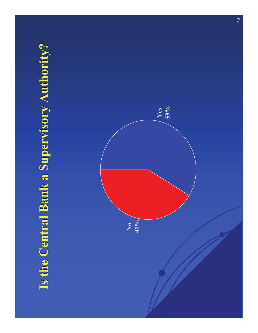### **Is the Central Bank a Supervisory Authority? Is the Central Bank a Supervisory Authority?**

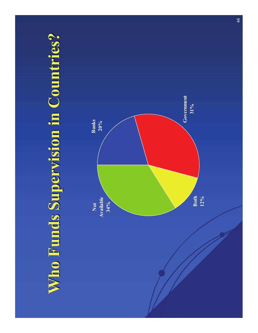# **Who Funds Supervision in Countries? Who Funds Supervision in Countries?**

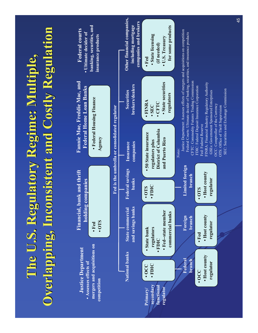# **The U.S. Regulatory Regime: Multiple, Overlapping, Inconsistent and Costly Regulation**

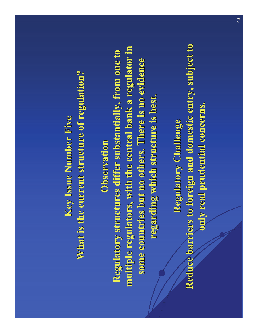### **Key Issue Number Five Key Issue Number Five** What is the current structure of regulation?

#### **Observation Observation**

**Regulatory structures differ substantially, from one to** multiple regulators, with the central bank a regulator in some countries but no others. There is no evidence **regarding which structure is best. regarding which structure is best.**

**Regulatory Challenge Regulatory Challenge Reduce barriers to foreign and domestic entry, subject to only real prudential concerns. only real prudential concerns.**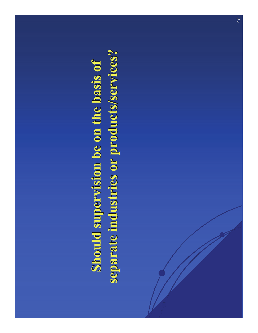# **Should supervision be on the basis of separate industries or products/services? separate industries or products/services?**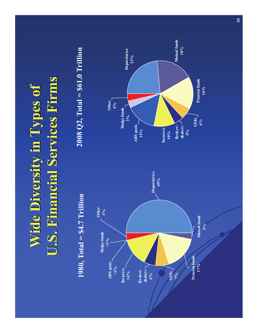# **Wide Diversity in Types of U.S. Financial Services Firms**

#### **1980, Total = \$4.7 Trillion**

**2008 Q2, Total = \$61.0 Trillion**



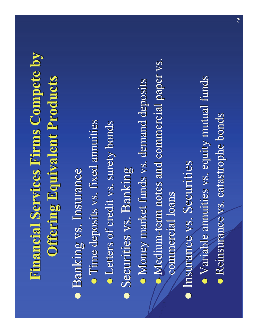# **Financial Services Firms Compete by Financial Services Firms Compete by Offering Equivalent Products Offering Equivalent Products**

**• Banking vs. Insurance • Time deposits vs. fixed annuities • Letters of credit vs. surety bonds • Securities vs. Banking** • Money market funds vs. demand deposits • Medium-term notes and commercial paper vs. commercial loans **• Insurance vs. Securities** • Variable annuities vs. equity mutual funds **• Reinsurance vs. catastrophe bonds**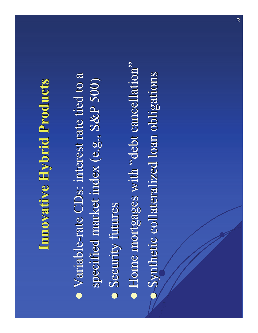# **Innovative Hybrid Products Innovative Hybrid Products**

• Variable-rate CDs: interest rate tied to a specified market index (e.g., S&P 500) **• Security futures** • Home mortgages with "debt cancellation" **•** Synthetic collateralized loan obligations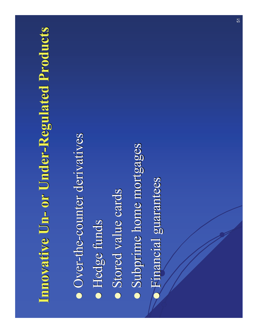### **Innovative Un- or Under-Regulated Products**

• Over-the-counter derivatives **• Hedge funds** • Stored value cards **• Subprime home mortgages • Financial guarantees**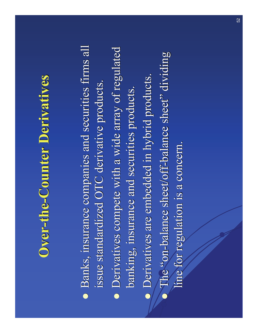### **Over-the-Counter Derivatives**

• Banks, insurance companies and securities firms all issue standardized OTC derivative products.

- Derivatives compete with a wide array of regulated banking, insurance and securities products.
- **Derivatives are embedded in hybrid products.**
- $\bullet$ The "on-balance sheet/off-balance sheet" dividing line for regulation is a concern.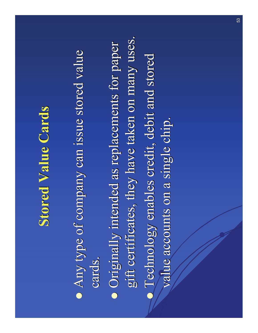## **Stored Value Cards Stored Value Cards**

- Any type of company can issue stored value cards.
- Originally intended as replacements for paper gift certificates, they have taken on many uses. gift certificates, they have taken on many uses.
- **Technology enables credit, debit and stored** value accounts on a single chip.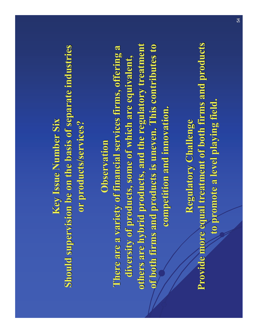**Key Issue Number Six Key Issue Number Six Should supervision be on the basis of separate industries or products/services? or products/services?**

**Observation Observation**

**There are a variety of financial services firms, offering a** diversity of products, some of which are equivalent, others are hybrid products, and the regulatory treatment **of both firms and products is uneven. This contributes to competition and innovation. competition and innovation.**

**Regulatory Challenge Regulatory Challenge Provide more equal treatment of both firms and products to promote a level playing field. to promote a level playing field.**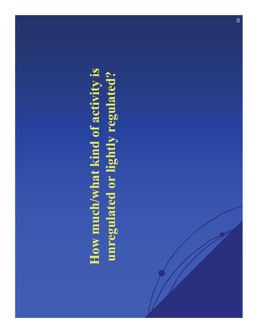# **How much/what kind of activity is unregulated or lightly regulated?**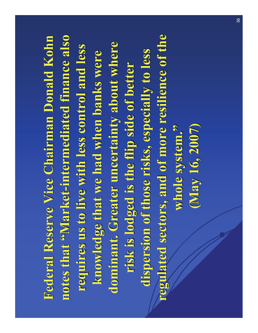**Federal Reserve Vice Chairman Donald Kohn notes that notes that "Market -intermediated finance also intermediated finance also requires us to live with less control and less requires us to live with less control and less knowledge that we had when banks were** dominant. Greater uncertainty about where risk is lodged is the flip side of better **dispersion of those risks, especially to less dispersion of those risks, especially to less**  regulated sectors, and of more resilience of the **whole system. whole system. "(May 16, 2007) (May 16, 2007)**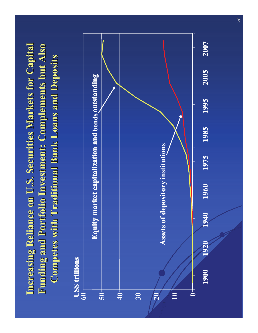### **Increasing Reliance on U.S. Securities Markets for Capital Funding and Portfolio Investment: Complements but Also Competes with Traditional Bank Loans and Deposits Competes with Traditional Bank Loans and Deposits**

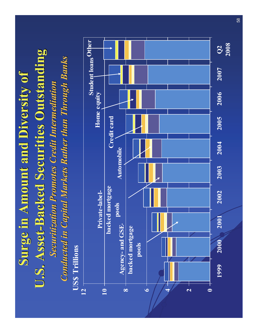# **Surge in Amount and Diversity of U.S. Asset-Backed Securities Outstanding**

**Securitization Promotes Credit Intermediation** *Conducted in Capital Markets Rather than Through Banks* 

**US\$ Trillions**

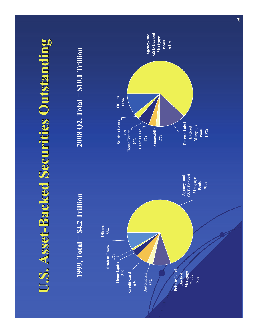## **U.S. Asset-Backed Securities Outstanding**

#### **1999, Total = \$4.2 Trillion**

#### **2008 Q2, Total = \$10.1 Trillion**

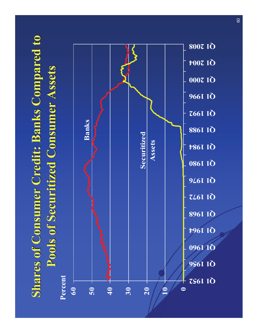## **Shares of Consumer Credit: Banks Compared to Pools of Securitized Consumer Assets Pools of Securitized Consumer Assets**



60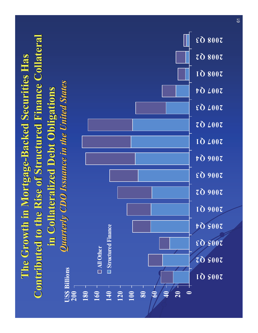### **The Growth in Mortgage The Growth in Mortgage -Backed Securities Has Backed Securities Has Contributed to the Rise of Structured Finance Collateral in Collateralized Debt Obligations in Collateralized Debt Obligations**

*Quarterly CDO Issuance in the United States Quarterly CDO Issuance in the United States*

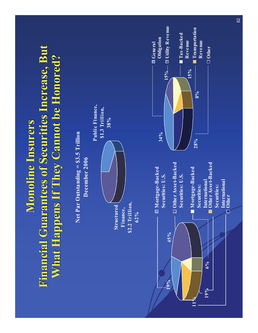### **Monoline Insurers Monoline InsurersFinancial Guarantees of Securities Increase, But What Happens If They Cannot be Honored? What Happens If They Cannot be Honored?**

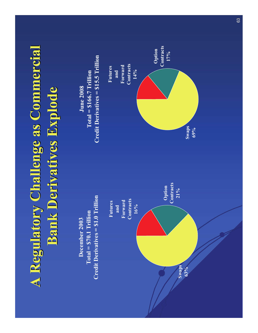# **A Regulatory Challenge as Commercial A Regulatory Challenge as Commercial Bank Derivatives Explode Bank Derivatives Explode**

**December 2003Total = \$70.1 Trillion Credit Derivatives = \$1.0 Trillion**



**June 2008Total = \$166.7 Trillion Credit Derivatives = \$15.5 Trillion**

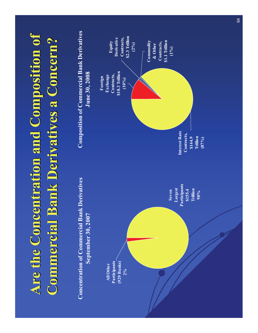# **Are the Concentration and Composition of Commercial Bank Derivatives a Concern? Commercial Bank Derivatives a Concern?**

#### **Concentration of Commercial Bank DerivativesSeptember 30, 2007**

#### **Composition of Commercial Bank Derivatives June 30, 2008**

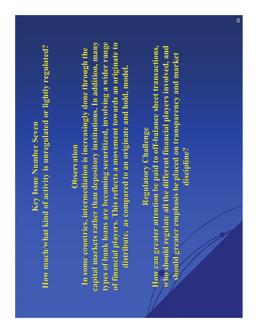#### **Key Issue Number Seven**

How much/what kind of activity is unregulated or lightly regulated?

#### **Observation Observation**

In some countries, intermediation is increasingly done through the **capital markets rather than depository institutions. In addition, many** types of bank loans are becoming securitized, involving a wider range **of financial players. This reflects a movement towards an origin of financial players. This reflects a movement towards an originate to distribute, as compared to an originate and hold, model. distribute, as compared to an originate and hold, model.**

**Regulatory Challenge Regulatory Challenge**

**How can greater attention be paid to off-balance sheet transactions, who should regulate all the different financial players involved, and** should greater emphasis be placed on transparency and market **discipline? discipline?**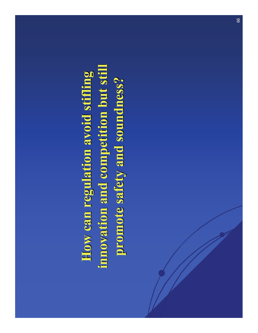**How can regulation avoid stifling innovation and competition but still innovation and competition but still promote safety and soundness? promote safety and soundness?**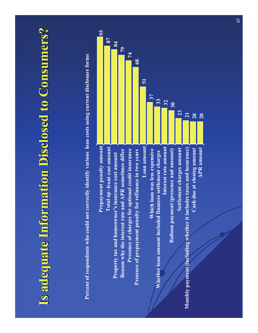### **Is adequate Information Disclosed to Consumers? Is adequate Information Disclosed to Consumers?**

**Percent of respondents who could not correctly identify various loan costs using current disclosure forms**

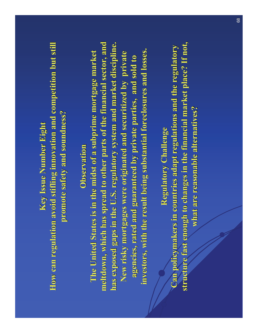#### **Key Issue Number Eight Key Issue Number Eight**

**How can regulation avoid stifling innovation and competition but still promote safety and soundness? promote safety and soundness?**

#### **Observation Observation**

The United States is in the midst of a subprime mortgage market meltdown, which has spread to other parts of the financial sector, and has exposed gaps in the U.S. regulatory system and market discipline. New risky mortgages were originated and securitized by private agencies, rated and guaranteed by private parties, and sold to investors, with the result being substantial foreclosures and losses.

#### **Regulatory Challenge Regulatory Challenge**

**Can policymakers in countries adapt regulations and the regulatory** structure fast enough to changes in the financial market place? If not, **what are reasonable alternatives? what are reasonable alternatives?**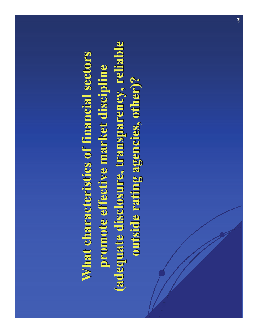What characteristics of financial sectors **promote effective market discipline promote effective market discipline (adequate disclosure, transparency, reliable (adequate disclosure, transparency, reliable outside rating agencies, other)? outside rating agencies, other)?**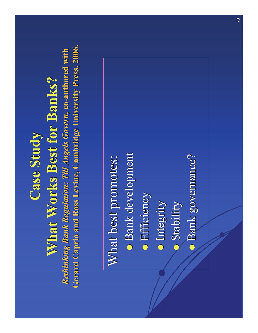# **Case Study Case Study**

# **What Works Best for Banks?**

*Rethinking Bank Regulation: Till Angels Govern, co-authored with* **Gerard Caprio and Ross Levine, Cambridge University Press, 2006.** 

## What best promotes:

- **Bank development**
- **•** Efficiency
- **Integrity**
- $\bullet$ Stability
- **Bank governance?**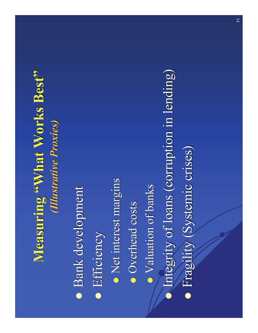## **Measuring "What Works Best"** *(Illustrative Proxies) (Illustrative Proxies)*

**• Bank development •** Efficiency • Net interest margins **• Overhead costs** • Valuation of banks  $\bullet$ Integrity of loans (corruption in lending) **•** Fragility (Systemic crises)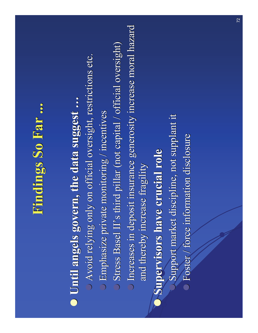# **Findings So Far ... Findings So Far ...**

### **O** Until angels govern, the data suggest ...

- $\bullet$  Avoid relying only on official oversight, restrictions etc.
- $\bigcirc$  Emphasize private monitoring / incentives
- $\circ$  Stress Basel II's third pillar (not capital / official oversight)
- $\bigcirc$  Increases in deposit insurance generosity increase moral hazard and thereby increase fragility

### **Supervisors have crucial role Supervisors have crucial role**

 $\bullet$ 

- $\bigcirc$ Support market discipline, not supplant it
- $\circ$  Foster / force information disclosure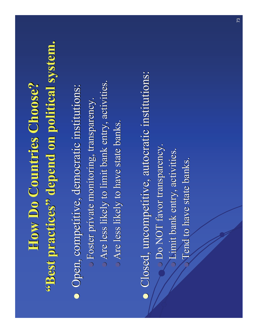# **How Do Countries Choose? How Do Countries Choose?"Best practices Best practices " depend on political system. depend on political system.**

**•** Open, competitive, democratic institutions: z Foster private monitoring, transparency. Foster private monitoring, transparency.  $\bullet$  Are less likely to limit bank entry, activities. • Are less likely to have state banks.

**•** Closed, uncompetitive, autocratic institutions:  $\bullet$  Do NOT favor transparency. **Example 13 Limit bank entry, activities.**  $\bigcirc$ Tend to have state banks.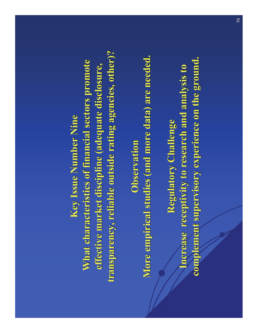**Key Issue Number Nine Key Issue Number Nine** What characteristics of financial sectors promote **effective market discipline (adequate disclosure, transparency, reliable outside rating agencies, other)? transparency, reliable outside rating agencies, other)?**

**Observation ObservationMore empirical studies (and more data) are needed.** 

**Regulatory Challenge Regulatory Challenge** Increase receptivity to research and analysis to **complement supervisory experience on the ground. complement supervisory experience on the ground.**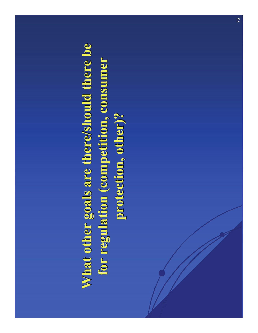# **What other goals are there/should there be** for regulation (competition, consumer **protection, other)? protection, other)?**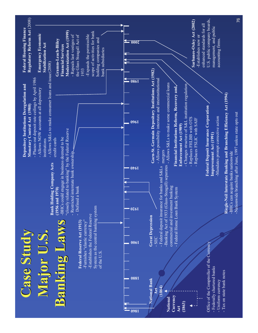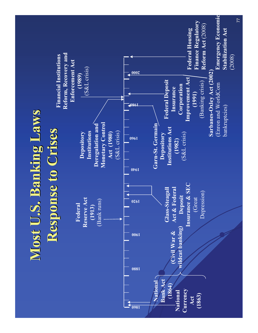# **Most U.S. Banking Laws Response to Crises Response to Crises**



**Financial Institutions**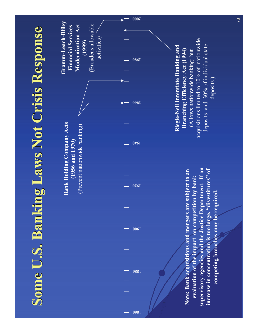## **Some U.S. Banking Laws Not Crisis Response Some U.S. Banking Laws Not Crisis Response**



**Note: Bank acquisitions and mergers are subject to an evaluation of the impact on competition by bank supervisory agencies and the Justice Department. If an increase in concentration is too large, "divestitures" of competing branches may be required.**

#### **Riegle-Neil Interstate Banking and Branching Efficiency Act (1994)**

(Allows nationwide banking: but acquisitions limited to 10% of nationwide deposits and 30% of individual state deposits )